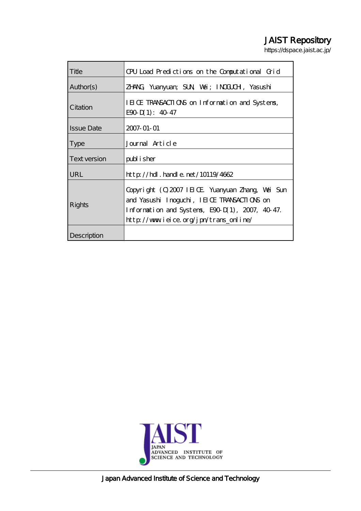# JAIST Repository

https://dspace.jaist.ac.jp/

| Title             | CPU Load Predictions on the Computational Grid                                                                                                                                              |
|-------------------|---------------------------------------------------------------------------------------------------------------------------------------------------------------------------------------------|
| Author(s)         | ZHNG Yuanyuan; SUN Wai; INOLOH, Yasushi                                                                                                                                                     |
| Citation          | IEICE TRANSACTIONS on Information and Systems,<br>$E90 \mathrm{D} (1)$ : 40 47                                                                                                              |
| <b>Issue Date</b> | 2007-01-01                                                                                                                                                                                  |
| <b>Type</b>       | Journal Article                                                                                                                                                                             |
| Text version      | publisher                                                                                                                                                                                   |
| URL               | $http$ // $hdl$ . handle. net/10119/4662                                                                                                                                                    |
| Rights            | Copyright (Q2007 IEICE Yuanyuan Zhang, Wai Sun<br>and Yasushi Inoguchi, IEI OE TRANSACTIONS on<br>Information and Systems, E90 D(1), 2007, 40-47.<br>http://www.ieice.org/jpn/trans_online/ |
| Description       |                                                                                                                                                                                             |



Japan Advanced Institute of Science and Technology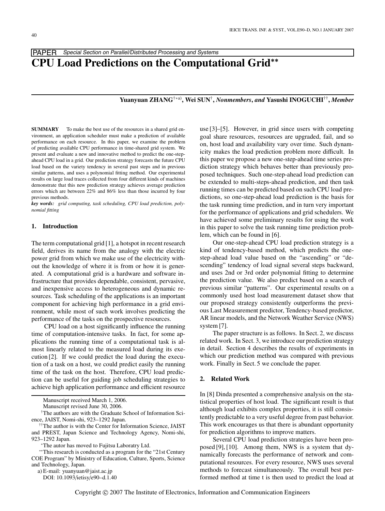# PAPER Special Section on Parallel/Distributed Processing and Systems **CPU Load Predictions on the Computational Grid**∗∗

# **Yuanyuan ZHANG**†∗a)**, Wei SUN**†**,** *Nonmembers***,** *and* **Yasushi INOGUCHI**††**,** *Member*

**SUMMARY** To make the best use of the resources in a shared grid environment, an application scheduler must make a prediction of available performance on each resource. In this paper, we examine the problem of predicting available CPU performance in time-shared grid system. We present and evaluate a new and innovative method to predict the one-stepahead CPU load in a grid. Our prediction strategy forecasts the future CPU load based on the variety tendency in several past steps and in previous similar patterns, and uses a polynomial fitting method. Our experimental results on large load traces collected from four different kinds of machines demonstrate that this new prediction strategy achieves average prediction errors which are between 22% and 86% less than those incurred by four previous methods.

*key words: grid computing, task scheduling, CPU load prediction, polynomial fitting*

#### **1. Introduction**

The term computational grid [1], a hotspot in recent research field, derives its name from the analogy with the electric power grid from which we make use of the electricity without the knowledge of where it is from or how it is generated. A computational grid is a hardware and software infrastructure that provides dependable, consistent, pervasive, and inexpensive access to heterogeneous and dynamic resources. Task scheduling of the applications is an important component for achieving high performance in a grid environment, while most of such work involves predicting the performance of the tasks on the prospective resources.

CPU load on a host significantly influence the running time of computation-intensive tasks. In fact, for some applications the running time of a computational task is almost linearly related to the measured load during its execution [2]. If we could predict the load during the execution of a task on a host, we could predict easily the running time of the task on the host. Therefore, CPU load prediction can be useful for guiding job scheduling strategies to achieve high application performance and efficient resource

†The authors are with the Graduate School of Information Science, JAIST, Nomi-shi, 923–1292 Japan.

a) E-mail: yuanyuan@jaist.ac.jp

use [3]–[5]. However, in grid since users with competing goal share resources, resources are upgraded, fail, and so on, host load and availability vary over time. Such dynamicity makes the load prediction problem more difficult. In this paper we propose a new one-step-ahead time series prediction strategy which behaves better than previously proposed techniques. Such one-step-ahead load prediction can be extended to multi-steps-ahead prediction, and then task running times can be predicted based on such CPU load predictions, so one-step-ahead load prediction is the basis for the task running time prediction, and in turn very important for the performance of applications and grid schedulers. We have achieved some preliminary results for using the work in this paper to solve the task running time prediction problem, which can be found in [6].

Our one-step-ahead CPU load prediction strategy is a kind of tendency-based method, which predicts the onestep-ahead load value based on the "ascending" or "descending" tendency of load signal several steps backward, and uses 2nd or 3rd order polynomial fitting to determine the prediction value. We also predict based on a search of previous similar "patterns". Our experimental results on a commonly used host load measurement dataset show that our proposed strategy consistently outperforms the previous Last Measurement predictor, Tendency-based predictor, AR linear models, and the Network Weather Service (NWS) system [7].

The paper structure is as follows. In Sect. 2, we discuss related work. In Sect. 3, we introduce our prediction strategy in detail. Section 4 describes the results of experiments in which our prediction method was compared with previous work. Finally in Sect. 5 we conclude the paper.

### **2. Related Work**

In [8] Dinda presented a comprehensive analysis on the statistical properties of host load. The significant result is that although load exhibits complex properties, it is still consistently predictable to a very useful degree from past behavior. This work encourages us that there is abundant opportunity for prediction algorithms to improve matters.

Several CPU load prediction strategies have been proposed [9], [10]. Among them, NWS is a system that dynamically forecasts the performance of network and computational resources. For every resource, NWS uses several methods to forecast simultaneously. The overall best performed method at time t is then used to predict the load at

Manuscript received March 1, 2006.

Manuscript revised June 30, 2006.

<sup>††</sup>The author is with the Center for Information Science, JAIST and PREST, Japan Science and Technology Agency, Nomi-shi, 923–1292 Japan.

<sup>∗</sup>The autor has moved to Fujitsu Laboratry Ltd.

<sup>∗∗</sup>This research is conducted as a program for the "21st Century COE Program" by Ministry of Education, Culture, Sports, Science and Technology, Japan.

DOI: 10.1093/ietisy/e90–d.1.40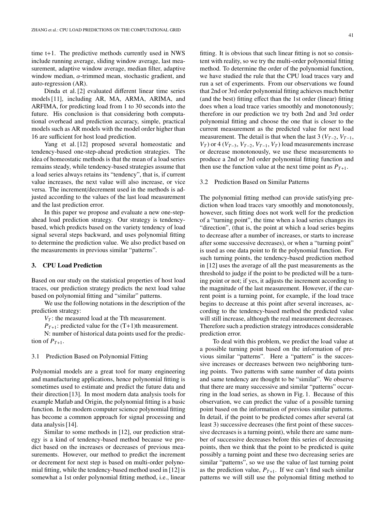time t+1. The predictive methods currently used in NWS include running average, sliding window average, last measurement, adaptive window average, median filter, adaptive window median,  $\alpha$ -trimmed mean, stochastic gradient, and auto-regression (AR).

Dinda et al. [2] evaluated different linear time series models [11], including AR, MA, ARMA, ARIMA, and ARFIMA, for predicting load from 1 to 30 seconds into the future. His conclusion is that considering both computational overhead and prediction accuracy, simple, practical models such as AR models with the model order higher than 16 are sufficient for host load prediction.

Yang et al. [12] proposed several homeostatic and tendency-based one-step-ahead prediction strategies. The idea of homeostatic methods is that the mean of a load series remains steady, while tendency-based strategies assume that a load series always retains its "tendency", that is, if current value increases, the next value will also increase, or vice versa. The increment/decrement used in the methods is adjusted according to the values of the last load measurement and the last prediction error.

In this paper we propose and evaluate a new one-stepahead load prediction strategy. Our strategy is tendencybased, which predicts based on the variety tendency of load signal several steps backward, and uses polynomial fitting to determine the prediction value. We also predict based on the measurements in previous similar "patterns".

# **3. CPU Load Prediction**

Based on our study on the statistical properties of host load traces, our prediction strategy predicts the next load value based on polynomial fitting and "similar" patterns.

We use the following notations in the description of the prediction strategy:

 $V_T$ : the measured load at the Tth measurement.

 $P_{T+1}$ : predicted value for the  $(T+1)$ th measurement.

N: number of historical data points used for the prediction of  $P_{T+1}$ .

# 3.1 Prediction Based on Polynomial Fitting

Polynomial models are a great tool for many engineering and manufacturing applications, hence polynomial fitting is sometimes used to estimate and predict the future data and their direction [13]. In most modern data analysis tools for example Matlab and Origin, the polynomial fitting is a basic function. In the modern computer science polynomial fitting has become a common approach for signal processing and data analysis [14].

Similar to some methods in [12], our prediction strategy is a kind of tendency-based method because we predict based on the increases or decreases of previous measurements. However, our method to predict the increment or decrement for next step is based on multi-order polynomial fitting, while the tendency-based method used in [12] is somewhat a 1st order polynomial fitting method, i.e., linear fitting. It is obvious that such linear fitting is not so consistent with reality, so we try the multi-order polynomial fitting method. To determine the order of the polynomial function, we have studied the rule that the CPU load traces vary and run a set of experiments. From our observations we found that 2nd or 3rd order polynomial fitting achieves much better (and the best) fitting effect than the 1st order (linear) fitting does when a load trace varies smoothly and monotonously; therefore in our prediction we try both 2nd and 3rd order polynomial fitting and choose the one that is closer to the current measurement as the predicted value for next load measurement. The detail is that when the last 3 ( $V_{T-2}$ ,  $V_{T-1}$ , *V<sub>T</sub>*) or 4 (*V<sub>T−3</sub>*, *V<sub>T−2</sub>*, *V<sub>T−1</sub>*, *V<sub>T</sub>*) load measurements increase or decrease monotonously, we use these measurements to produce a 2nd or 3rd order polynomial fitting function and then use the function value at the next time point as  $P_{T+1}$ .

# 3.2 Prediction Based on Similar Patterns

The polynomial fitting method can provide satisfying prediction when load traces vary smoothly and monotonously, however, such fitting does not work well for the prediction of a "turning point", the time when a load series changes its "direction", (that is, the point at which a load series begins to decrease after a number of increases, or starts to increase after some successive decreases), or when a "turning point" is used as one data point to fit the polynomial function. For such turning points, the tendency-based prediction method in [12] uses the average of all the past measurements as the threshold to judge if the point to be predicted will be a turning point or not; if yes, it adjusts the increment according to the magnitude of the last measurement. However, if the current point is a turning point, for example, if the load trace begins to decrease at this point after several increases, according to the tendency-based method the predicted value will still increase, although the real measurement decreases. Therefore such a prediction strategy introduces considerable prediction error.

To deal with this problem, we predict the load value at a possible turning point based on the information of previous similar "patterns". Here a "pattern" is the successive increases or decreases between two neighboring turning points. Two patterns with same number of data points and same tendency are thought to be "similar". We observe that there are many successive and similar "patterns" occurring in the load series, as shown in Fig. 1. Because of this observation, we can predict the value of a possible turning point based on the information of previous similar patterns. In detail, if the point to be predicted comes after several (at least 3) successive decreases (the first point of these successive decreases is a turning point), while there are same number of successive decreases before this series of decreasing points, then we think that the point to be predicted is quite possibly a turning point and these two decreasing series are similar "patterns", so we use the value of last turning point as the prediction value,  $P_{T+1}$ . If we can't find such similar patterns we will still use the polynomial fitting method to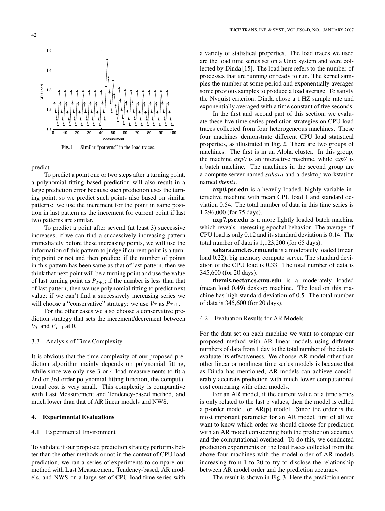

Fig. 1 Similar "patterns" in the load traces.

predict.

To predict a point one or two steps after a turning point, a polynomial fitting based prediction will also result in a large prediction error because such prediction uses the turning point, so we predict such points also based on similar patterns: we use the increment for the point in same position in last pattern as the increment for current point if last two patterns are similar.

To predict a point after several (at least 3) successive increases, if we can find a successively increasing pattern immediately before these increasing points, we will use the information of this pattern to judge if current point is a turning point or not and then predict: if the number of points in this pattern has been same as that of last pattern, then we think that next point will be a turning point and use the value of last turning point as  $P_{T+1}$ ; if the number is less than that of last pattern, then we use polynomial fitting to predict next value; if we can't find a successively increasing series we will choose a "conservative" strategy: we use  $V_T$  as  $P_{T+1}$ .

For the other cases we also choose a conservative prediction strategy that sets the increment/decrement between  $V_T$  and  $P_{T+1}$  at 0.

# 3.3 Analysis of Time Complexity

It is obvious that the time complexity of our proposed prediction algorithm mainly depends on polynomial fitting, while since we only use 3 or 4 load measurements to fit a 2nd or 3rd order polynomial fitting function, the computational cost is very small. This complexity is comparative with Last Measurement and Tendency-based method, and much lower than that of AR linear models and NWS.

# **4. Experimental Evaluations**

#### 4.1 Experimental Environment

To validate if our proposed prediction strategy performs better than the other methods or not in the context of CPU load prediction, we ran a series of experiments to compare our method with Last Measurement, Tendency-based, AR models, and NWS on a large set of CPU load time series with

a variety of statistical properties. The load traces we used are the load time series set on a Unix system and were collected by Dinda [15]. The load here refers to the number of processes that are running or ready to run. The kernel samples the number at some period and exponentially averages some previous samples to produce a load average. To satisfy the Nyquist criterion, Dinda chose a 1 HZ sample rate and exponentially averaged with a time constant of five seconds.

In the first and second part of this section, we evaluate these five time series prediction strategies on CPU load traces collected from four heterogeneous machines. These four machines demonstrate different CPU load statistical properties, as illustrated in Fig. 2. There are two groups of machines. The first is in an Alpha cluster. In this group, the machine *axp0* is an interactive machine, while *axp7* is a batch machine. The machines in the second group are a compute server named *sahara* and a desktop workstation named *themis*.

**axp0.psc.edu** is a heavily loaded, highly variable interactive machine with mean CPU load 1 and standard deviation 0.54. The total number of data in this time series is 1,296,000 (for 75 days).

**axp7.psc.edu** is a more lightly loaded batch machine which reveals interesting epochal behavior. The average of CPU load is only 0.12 and its standard deviation is 0.14. The total number of data is 1,123,200 (for 65 days).

**sahara.cmcl.cs.cmu.edu** is a moderately loaded (mean load 0.22), big memory compute server. The standard deviation of the CPU load is 0.33. The total number of data is 345,600 (for 20 days).

**themis.nectar.cs.cmu.edu** is a moderately loaded (mean load 0.49) desktop machine. The load on this machine has high standard deviation of 0.5. The total number of data is 345,600 (for 20 days).

### 4.2 Evaluation Results for AR Models

For the data set on each machine we want to compare our proposed method with AR linear models using different numbers of data from 1 day to the total number of the data to evaluate its effectiveness. We choose AR model other than other linear or nonlinear time series models is because that as Dinda has mentioned, AR models can achieve considerably accurate prediction with much lower computational cost comparing with other models.

For an AR model, if the current value of a time series is only related to the last p values, then the model is called a p-order model, or AR(p) model. Since the order is the most important parameter for an AR model, first of all we want to know which order we should choose for prediction with an AR model considering both the prediction accuracy and the computational overhead. To do this, we conducted prediction experiments on the load traces collected from the above four machines with the model order of AR models increasing from 1 to 20 to try to disclose the relationship between AR model order and the prediction accuracy.

The result is shown in Fig. 3. Here the prediction error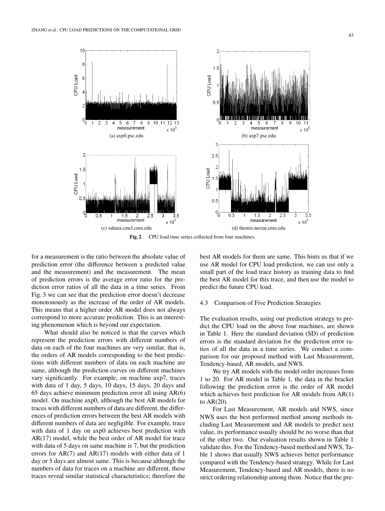

**Fig. 2** CPU load time series collected from four machines.

for a measurement is the ratio between the absolute value of prediction error (the difference between a predicted value and the measurement) and the measurement. The mean of prediction errors is the average error ratio for the prediction error ratios of all the data in a time series. From Fig. 3 we can see that the prediction error doesn't decrease monotonously as the increase of the order of AR models. This means that a higher order AR model does not always correspond to more accurate prediction. This is an interesting phenomenon which is beyond our expectation.

What should also be noticed is that the curves which represent the prediction errors with different numbers of data on each of the four machines are very similar, that is, the orders of AR models corresponding to the best predictions with different numbers of data on each machine are same, although the prediction curves on different machines vary significantly. For example, on machine axp7, traces with data of 1 day, 5 days, 10 days, 15 days, 20 days and 65 days achieve minimum prediction error all using AR(6) model. On machine axp0, although the best AR models for traces with different numbers of data are different, the differences of prediction errors between the best AR models with different numbers of data are negligible. For example, trace with data of 1 day on axp0 achieves best prediction with AR(17) model, while the best order of AR model for trace with data of 5 days on same machine is 7, but the prediction errors for  $AR(7)$  and  $AR(17)$  models with either data of 1 day or 5 days are almost same. This is because although the numbers of data for traces on a machine are different, these traces reveal similar statistical characteristics; therefore the best AR models for them are same. This hints us that if we use AR model for CPU load prediction, we can use only a small part of the load trace history as training data to find the best AR model for this trace, and then use the model to predict the future CPU load.

#### 4.3 Comparison of Five Prediction Strategies

The evaluation results, using our prediction strategy to predict the CPU load on the above four machines, are shown in Table 1. Here the standard deviation (SD) of prediction errors is the standard deviation for the prediction error ratios of all the data in a time series. We conduct a comparison for our proposed method with Last Measurement, Tendency-based, AR models, and NWS.

We try AR models with the model order increases from 1 to 20. For AR model in Table 1, the data in the bracket following the prediction error is the order of AR model which achieves best prediction for AR models from AR(1) to AR(20).

For Last Measurement, AR models and NWS, since NWS uses the best performed method among methods including Last Measurement and AR models to predict next value, its performance usually should be no worse than that of the other two. Our evaluation results shown in Table 1 validate this. For the Tendency-based method and NWS, Table 1 shows that usually NWS achieves better performance compared with the Tendency-based strategy. While for Last Measurement, Tendency-based and AR models, there is no strict ordering relationship among them. Notice that the pre-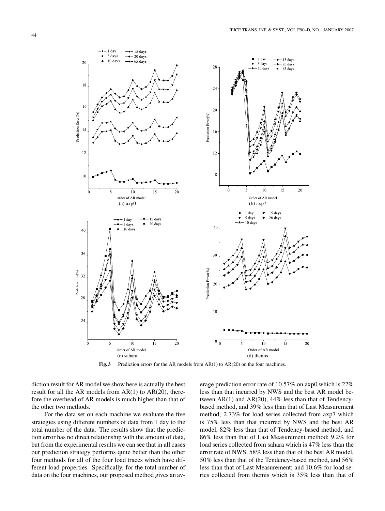

Fig. 3 Prediction errors for the AR models from AR(1) to AR(20) on the four machines.

diction result for AR model we show here is actually the best result for all the AR models from  $AR(1)$  to  $AR(20)$ , therefore the overhead of AR models is much higher than that of the other two methods.

For the data set on each machine we evaluate the five strategies using different numbers of data from 1 day to the total number of the data. The results show that the prediction error has no direct relationship with the amount of data, but from the experimental results we can see that in all cases our prediction strategy performs quite better than the other four methods for all of the four load traces which have different load properties. Specifically, for the total number of data on the four machines, our proposed method gives an average prediction error rate of 10.57% on axp0 which is 22% less than that incurred by NWS and the best AR model between AR(1) and AR(20), 44% less than that of Tendencybased method, and 39% less than that of Last Measurement method; 2.73% for load series collected from axp7 which is 75% less than that incurred by NWS and the best AR model, 82% less than that of Tendency-based method, and 86% less than that of Last Measurement method; 9.2% for load series collected from sahara which is 47% less than the error rate of NWS, 58% less than that of the best AR model, 50% less than that of the Tendency-based method, and 56% less than that of Last Measurement; and 10.6% for load series collected from themis which is 35% less than that of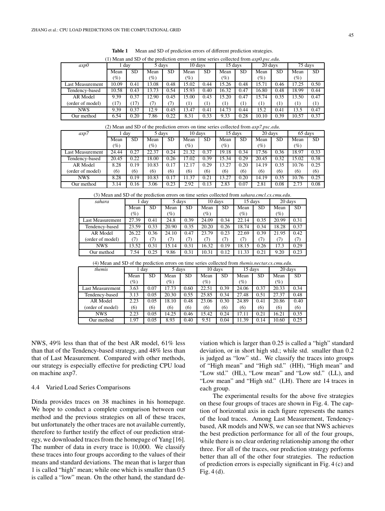| <b>NEXTED SD</b> of the prediction errors on three series conected from <i>dxpo.psc.edu</i> . |       |           |        |      |         |      |                 |          |         |           |         |           |
|-----------------------------------------------------------------------------------------------|-------|-----------|--------|------|---------|------|-----------------|----------|---------|-----------|---------|-----------|
| axp0                                                                                          | dav   |           | 5 days |      | 10 days |      | 15 days         |          | 20 days |           | 75 days |           |
|                                                                                               | Mean  | <b>SD</b> | Mean   | SD   | Mean    | SD   | Mean            | SD.      | Mean    | <b>SD</b> | Mean    | <b>SD</b> |
|                                                                                               | (%)   |           | $(\%)$ |      | (%)     |      | $\mathscr{G}_o$ |          | $(\%)$  |           | (%)     |           |
| Last Measurement                                                                              | 10.09 | 0.41      | 13.08  | 0.48 | 15.02   | 0.44 | 15.26           | 0.48     | 15.71   | 0.46      | 17.25   | 0.50      |
| Tendency-based                                                                                | 10.58 | 0.43      | 13.73  | 0.54 | 15.93   | 0.40 | 16.32           | 0.47     | 16.80   | 0.48      | 18.99   | 0.44      |
| AR Model                                                                                      | 9.39  | 0.37      | 12.90  | 0.45 | 15.00   | 0.43 | 15.20           | 0.47     | 15.74   | 0.35      | 13.50   | 0.47      |
| (order of model)                                                                              | (17)  | (17)      | (7)    | 7)   | 11      | Ί)   | (1)             | $^{(1)}$ | (1)     | (1)       |         | $^{(1)}$  |
| <b>NWS</b>                                                                                    | 9.39  | 0.37      | 12.9   | 0.45 | 13.47   | 0.41 | 14.73           | 0.44     | 15.2    | 0.41      | 13.5    | 0.47      |
| Our method                                                                                    | 6.54  | 0.20      | 7.86   | 0.22 | 8.31    | 0.33 | 9.33            | 0.28     | 10.10   | 0.39      | 10.57   | 0.37      |

**Table 1** Mean and SD of prediction errors of different prediction strategies. (1) Mean and SD of the prediction errors on time series collected from *axp0.psc.edu*.

| Our method                                                                                    | 6.54   | 0.20      | 7.86   | 0.22      | 8.31    | 0.33 | 9.33    | 0.28      | 10.10            | 0.39      | 10.57   | 0.37 |
|-----------------------------------------------------------------------------------------------|--------|-----------|--------|-----------|---------|------|---------|-----------|------------------|-----------|---------|------|
| (2) Mean and SD of the prediction errors on time series collected from $\alpha xp7.psc.edu$ . |        |           |        |           |         |      |         |           |                  |           |         |      |
| axp7                                                                                          | 1 day  |           | 5 days |           | 10 davs |      | 15 days |           | 20 days          |           | 65 days |      |
|                                                                                               | Mean   | <b>SD</b> | Mean   | <b>SD</b> | Mean    | SD   | Mean    | <b>SD</b> | Mean             | <b>SD</b> | Mean    | SD   |
|                                                                                               | $(\%)$ |           | $(\%)$ |           | $(\%)$  |      | (%)     |           | $\mathcal{O}(n)$ |           | $(\%)$  |      |
| Last Measurement                                                                              | 24.44  | 0.27      | 22.37  | 0.24      | 21.32   | 0.37 | 19.18   | 0.34      | 17.56            | 0.36      | 18.97   | 0.33 |
| Tendency-based                                                                                | 20.45  | 0.22      | 18.00  | 0.26      | 17.02   | 0.39 | 15.34   | 0.29      | 20.45            | 0.32      | 15.02   | 0.38 |
| AR Model                                                                                      | 8.28   | 0.19      | 10.83  | 0.17      | 12.17   | 0.29 | 13.27   | 0.20      | 14.19            | 0.35      | 10.76   | 0.25 |
| (order of model)                                                                              | (6)    | (6)       | (6)    | (6)       | (6)     | (6)  | (6)     | (6)       | (6)              | (6)       | (6)     | (6)  |
| <b>NWS</b>                                                                                    | 8.28   | 0.19      | 10.83  | 0.17      | 11.37   | 0.21 | 13.27   | 0.20      | 14.19            | 0.35      | 10.76   | 0.25 |
| Our method                                                                                    | 3.14   | 0.16      | 3.06   | 0.23      | 2.92    | 0.13 | 2.83    | 0.07      | 2.81             | 0.08      | 2.73    | 0.08 |
|                                                                                               |        |           |        |           |         |      |         |           |                  |           |         |      |

(3) Mean and SD of the prediction errors on time series collected from *sahara.cmcl.cs.cmu.edu*.

| sahara                  | day.   |           | 5 days          |           | 10 days |           | 15 days         |      | 20 days |      |
|-------------------------|--------|-----------|-----------------|-----------|---------|-----------|-----------------|------|---------|------|
|                         | Mean   | <b>SD</b> | Mean            | <b>SD</b> | Mean    | <b>SD</b> | Mean            | SD   | Mean    | SD.  |
|                         | $(\%)$ |           | $\mathscr{G}_o$ |           | $(\%)$  |           | $\mathscr{C}_o$ |      | $(\%)$  |      |
| <b>Last Measurement</b> | 27.39  | 0.41      | 24.8            | 0.39      | 24.09   | 0.34      | 22.14           | 0.35 | 20.99   | 0.31 |
| Tendency-based          | 23.59  | 0.33      | 20.90           | 0.35      | 20.20   | 0.26      | 18.74           | 0.34 | 18.28   | 0.37 |
| AR Model                | 26.22  | 0.36      | 24.10           | 0.47      | 23.79   | 0.23      | 22.69           | 0.39 | 21.95   | 0.42 |
| (order of model)        | (7)    | (7)       | (7)             | (7)       | (7)     | (7)       | (7)             | (7)  | (7)     | (7)  |
| <b>NWS</b>              | 13.52  | 0.31      | 15.14           | 0.31      | 16.32   | 0.19      | 18.15           | 0.26 | 17.3    | 0.29 |
| Our method              | 7.54   | 0.25      | 9.86            | 0.31      | 10.31   | 0.12      | 11.33           | 0.21 | 9.20    | 0.23 |

(4) Mean and SD of the prediction errors on time series collected from *themis.nectar.cs.cmu.edu*.

| themis           | 1 day  |      | 5 days          |           | 10 days         |           | 15 days         |           | 20 days         |           |
|------------------|--------|------|-----------------|-----------|-----------------|-----------|-----------------|-----------|-----------------|-----------|
|                  | Mean   | SD   | Mean            | <b>SD</b> | Mean            | <b>SD</b> | Mean            | <b>SD</b> | Mean            | <b>SD</b> |
|                  | $(\%)$ |      | $\mathscr{G}_o$ |           | $\mathscr{C}_o$ |           | $\mathscr{C}_o$ |           | $\mathscr{G}_o$ |           |
| Last Measurement | 3.63   | 0.07 | 17.73           | 0.60      | 22.51           | 0.39      | 24.06           | 0.37      | 20.33           | 0.34      |
| Tendency-based   | 3.13   | 0.05 | 20.30           | 0.55      | 25.85           | 0.34      | 27.48           | 0.51      | 27.37           | 0.48      |
| AR Model         | 2.23   | 0.05 | 18.10           | 0.48      | 23.06           | 0.30      | 24.89           | 0.41      | 20.86           | 0.40      |
| (order of model) | (6)    | (6)  | (6)             | (6)       | (6)             | (6)       | (6)             | (6)       | (6)             | (6)       |
| <b>NWS</b>       | 2.23   | 0.05 | 14.25           | 0.46      | 15.42           | 0.24      | 17.11           | 0.21      | 16.21           | 0.35      |
| Our method       | 1.97   | 0.05 | 8.93            | 0.40      | 9.51            | 0.04      | 11.39           | 0.14      | 10.60           | 0.25      |

NWS, 49% less than that of the best AR model, 61% less than that of the Tendency-based strategy, and 48% less than that of Last Measurement. Compared with other methods, our strategy is especially effective for predicting CPU load on machine axp7.

# 4.4 Varied Load Series Comparisons

Dinda provides traces on 38 machines in his homepage. We hope to conduct a complete comparison between our method and the previous strategies on all of these traces, but unfortunately the other traces are not available currently, therefore to further testify the effect of our prediction strategy, we downloaded traces from the homepage of Yang [16]. The number of data in every trace is 10,000. We classify these traces into four groups according to the values of their means and standard deviations. The mean that is larger than 1 is called "high" mean; while one which is smaller than 0.5 is called a "low" mean. On the other hand, the standard de-

viation which is larger than 0.25 is called a "high" standard deviation, or in short high std.; while std. smaller than 0.2 is judged as "low" std.. We classify the traces into groups of "High mean" and "High std." (HH), "High mean" and "Low std." (HL), "Low mean" and "Low std." (LL), and "Low mean" and "High std." (LH). There are 14 traces in each group.

The experimental results for the above five strategies on these four groups of traces are shown in Fig. 4. The caption of horizontal axis in each figure represents the names of the load traces. Among Last Measurement, Tendencybased, AR models and NWS, we can see that NWS achieves the best prediction performance for all of the four groups, while there is no clear ordering relationship among the other three. For all of the traces, our prediction strategy performs better than all of the other four strategies. The reduction of prediction errors is especially significant in Fig. 4 (c) and Fig. 4 (d).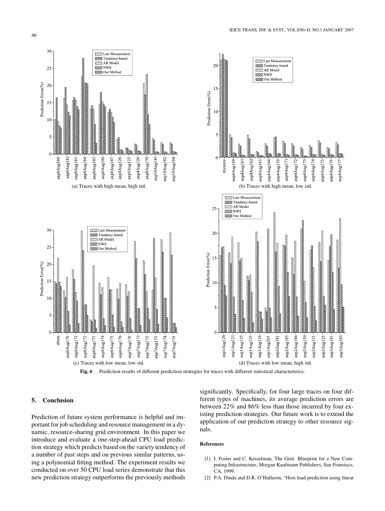

**Fig. 4** Prediction results of different prediction strategies for traces with different statistical characteristics.

# **5. Conclusion**

Prediction of future system performance is helpful and important for job scheduling and resource management in a dynamic, resource-sharing grid environment. In this paper we introduce and evaluate a one-step-ahead CPU load prediction strategy which predicts based on the variety tendency of a number of past steps and on previous similar patterns, using a polynomial fitting method. The experiment results we conducted on over 50 CPU load series demonstrate that this new prediction strategy outperforms the previously methods

significantly. Specifically, for four large traces on four different types of machines, its average prediction errors are between 22% and 86% less than those incurred by four existing prediction strategies. Our future work is to extend the application of our prediction strategy to other resource signals.

# **References**

- [1] I. Foster and C. Kesselman, The Grid: Blueprint for a New Computing Infrastructure, Morgan Kaufmann Publishers, San Fransisco, CA, 1999.
- [2] P.A. Dinda and D.R. O'Hallaron, "Host load prediction using linear